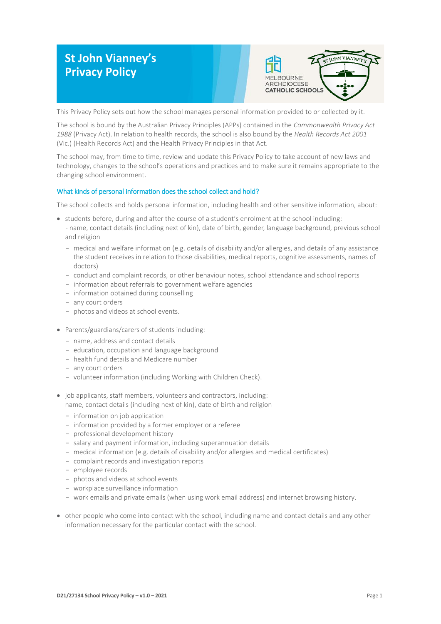# **St John Vianney's Privacy Policy**



This Privacy Policy sets out how the school manages personal information provided to or collected by it.

The school is bound by the Australian Privacy Principles (APPs) contained in the *Commonwealth Privacy Act 1988* (Privacy Act). In relation to health records, the school is also bound by the *Health Records Act 2001* (Vic.) (Health Records Act) and the Health Privacy Principles in that Act.

The school may, from time to time, review and update this Privacy Policy to take account of new laws and technology, changes to the school's operations and practices and to make sure it remains appropriate to the changing school environment.

## What kinds of personal information does the school collect and hold?

The school collects and holds personal information, including health and other sensitive information, about:

- students before, during and after the course of a student's enrolment at the school including: - name, contact details (including next of kin), date of birth, gender, language background, previous school and religion
	- medical and welfare information (e.g. details of disability and/or allergies, and details of any assistance the student receives in relation to those disabilities, medical reports, cognitive assessments, names of doctors)
	- conduct and complaint records, or other behaviour notes, school attendance and school reports
	- information about referrals to government welfare agencies
	- information obtained during counselling
	- any court orders
	- photos and videos at school events.
- Parents/guardians/carers of students including:
	- name, address and contact details
	- education, occupation and language background
	- health fund details and Medicare number
	- any court orders
	- volunteer information (including Working with Children Check).
- job applicants, staff members, volunteers and contractors, including: name, contact details (including next of kin), date of birth and religion
	- information on job application
	- information provided by a former employer or a referee
	- professional development history
	- salary and payment information, including superannuation details
	- medical information (e.g. details of disability and/or allergies and medical certificates)
	- complaint records and investigation reports
	- employee records
	- photos and videos at school events
	- workplace surveillance information
	- work emails and private emails (when using work email address) and internet browsing history.
- other people who come into contact with the school, including name and contact details and any other information necessary for the particular contact with the school.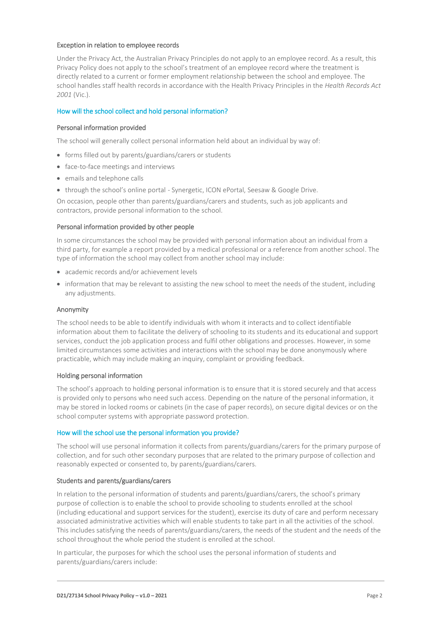#### Exception in relation to employee records

Under the Privacy Act, the Australian Privacy Principles do not apply to an employee record. As a result, this Privacy Policy does not apply to the school's treatment of an employee record where the treatment is directly related to a current or former employment relationship between the school and employee. The school handles staff health records in accordance with the Health Privacy Principles in the *Health Records Act 2001* (Vic.).

## How will the school collect and hold personal information?

## Personal information provided

The school will generally collect personal information held about an individual by way of:

- forms filled out by parents/guardians/carers or students
- face-to-face meetings and interviews
- emails and telephone calls
- through the school's online portal Synergetic, ICON ePortal, Seesaw & Google Drive.

On occasion, people other than parents/guardians/carers and students, such as job applicants and contractors, provide personal information to the school.

#### Personal information provided by other people

In some circumstances the school may be provided with personal information about an individual from a third party, for example a report provided by a medical professional or a reference from another school. The type of information the school may collect from another school may include:

- academic records and/or achievement levels
- information that may be relevant to assisting the new school to meet the needs of the student, including any adjustments.

#### Anonymity

The school needs to be able to identify individuals with whom it interacts and to collect identifiable information about them to facilitate the delivery of schooling to its students and its educational and support services, conduct the job application process and fulfil other obligations and processes. However, in some limited circumstances some activities and interactions with the school may be done anonymously where practicable, which may include making an inquiry, complaint or providing feedback.

#### Holding personal information

The school's approach to holding personal information is to ensure that it is stored securely and that access is provided only to persons who need such access. Depending on the nature of the personal information, it may be stored in locked rooms or cabinets (in the case of paper records), on secure digital devices or on the school computer systems with appropriate password protection.

#### How will the school use the personal information you provide?

The school will use personal information it collects from parents/guardians/carers for the primary purpose of collection, and for such other secondary purposes that are related to the primary purpose of collection and reasonably expected or consented to, by parents/guardians/carers.

## Students and parents/guardians/carers

In relation to the personal information of students and parents/guardians/carers, the school's primary purpose of collection is to enable the school to provide schooling to students enrolled at the school (including educational and support services for the student), exercise its duty of care and perform necessary associated administrative activities which will enable students to take part in all the activities of the school. This includes satisfying the needs of parents/guardians/carers, the needs of the student and the needs of the school throughout the whole period the student is enrolled at the school.

In particular, the purposes for which the school uses the personal information of students and parents/guardians/carers include: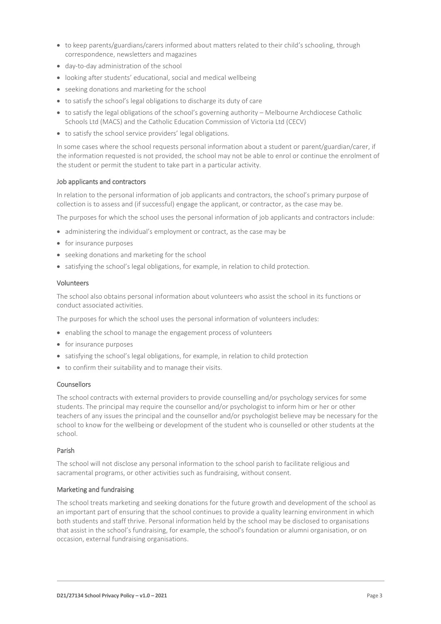- to keep parents/guardians/carers informed about matters related to their child's schooling, through correspondence, newsletters and magazines
- day-to-day administration of the school
- looking after students' educational, social and medical wellbeing
- seeking donations and marketing for the school
- to satisfy the school's legal obligations to discharge its duty of care
- to satisfy the legal obligations of the school's governing authority Melbourne Archdiocese Catholic Schools Ltd (MACS) and the Catholic Education Commission of Victoria Ltd (CECV)
- to satisfy the school service providers' legal obligations.

In some cases where the school requests personal information about a student or parent/guardian/carer, if the information requested is not provided, the school may not be able to enrol or continue the enrolment of the student or permit the student to take part in a particular activity.

## Job applicants and contractors

In relation to the personal information of job applicants and contractors, the school's primary purpose of collection is to assess and (if successful) engage the applicant, or contractor, as the case may be.

The purposes for which the school uses the personal information of job applicants and contractors include:

- administering the individual's employment or contract, as the case may be
- for insurance purposes
- seeking donations and marketing for the school
- satisfying the school's legal obligations, for example, in relation to child protection.

## Volunteers

The school also obtains personal information about volunteers who assist the school in its functions or conduct associated activities.

The purposes for which the school uses the personal information of volunteers includes:

- enabling the school to manage the engagement process of volunteers
- for insurance purposes
- satisfying the school's legal obligations, for example, in relation to child protection
- to confirm their suitability and to manage their visits.

## **Counsellors**

The school contracts with external providers to provide counselling and/or psychology services for some students. The principal may require the counsellor and/or psychologist to inform him or her or other teachers of any issues the principal and the counsellor and/or psychologist believe may be necessary for the school to know for the wellbeing or development of the student who is counselled or other students at the school.

# Parish

The school will not disclose any personal information to the school parish to facilitate religious and sacramental programs, or other activities such as fundraising, without consent.

## Marketing and fundraising

The school treats marketing and seeking donations for the future growth and development of the school as an important part of ensuring that the school continues to provide a quality learning environment in which both students and staff thrive. Personal information held by the school may be disclosed to organisations that assist in the school's fundraising, for example, the school's foundation or alumni organisation, or on occasion, external fundraising organisations.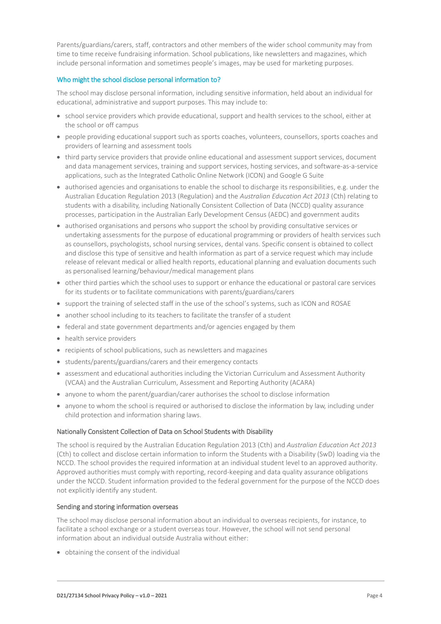Parents/guardians/carers, staff, contractors and other members of the wider school community may from time to time receive fundraising information. School publications, like newsletters and magazines, which include personal information and sometimes people's images, may be used for marketing purposes.

## Who might the school disclose personal information to?

The school may disclose personal information, including sensitive information, held about an individual for educational, administrative and support purposes. This may include to:

- school service providers which provide educational, support and health services to the school, either at the school or off campus
- people providing educational support such as sports coaches, volunteers, counsellors, sports coaches and providers of learning and assessment tools
- third party service providers that provide online educational and assessment support services, document and data management services, training and support services, hosting services, and software-as-a-service applications, such as the Integrated Catholic Online Network (ICON) and Google G Suite
- authorised agencies and organisations to enable the school to discharge its responsibilities, e.g. under the Australian Education Regulation 2013 (Regulation) and the *Australian Education Act 2013* (Cth) relating to students with a disability, including Nationally Consistent Collection of Data (NCCD) quality assurance processes, participation in the Australian Early Development Census (AEDC) and government audits
- authorised organisations and persons who support the school by providing consultative services or undertaking assessments for the purpose of educational programming or providers of health services such as counsellors, psychologists, school nursing services, dental vans. Specific consent is obtained to collect and disclose this type of sensitive and health information as part of a service request which may include release of relevant medical or allied health reports, educational planning and evaluation documents such as personalised learning/behaviour/medical management plans
- other third parties which the school uses to support or enhance the educational or pastoral care services for its students or to facilitate communications with parents/guardians/carers
- support the training of selected staff in the use of the school's systems, such as ICON and ROSAE
- another school including to its teachers to facilitate the transfer of a student
- federal and state government departments and/or agencies engaged by them
- health service providers
- recipients of school publications, such as newsletters and magazines
- students/parents/guardians/carers and their emergency contacts
- assessment and educational authorities including the Victorian Curriculum and Assessment Authority (VCAA) and the Australian Curriculum, Assessment and Reporting Authority (ACARA)
- anyone to whom the parent/guardian/carer authorises the school to disclose information
- anyone to whom the school is required or authorised to disclose the information by law, including under child protection and information sharing laws.

## Nationally Consistent Collection of Data on School Students with Disability

The school is required by the Australian Education Regulation 2013 (Cth) and *Australian Education Act 2013* (Cth) to collect and disclose certain information to inform the Students with a Disability (SwD) loading via the NCCD. The school provides the required information at an individual student level to an approved authority. Approved authorities must comply with reporting, record-keeping and data quality assurance obligations under the NCCD. Student information provided to the federal government for the purpose of the NCCD does not explicitly identify any student.

# Sending and storing information overseas

The school may disclose personal information about an individual to overseas recipients, for instance, to facilitate a school exchange or a student overseas tour. However, the school will not send personal information about an individual outside Australia without either:

obtaining the consent of the individual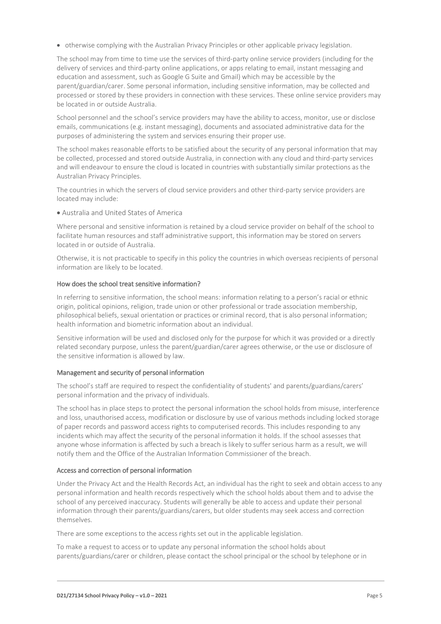otherwise complying with the Australian Privacy Principles or other applicable privacy legislation.

The school may from time to time use the services of third-party online service providers (including for the delivery of services and third-party online applications, or apps relating to email, instant messaging and education and assessment, such as Google G Suite and Gmail) which may be accessible by the parent/guardian/carer. Some personal information, including sensitive information, may be collected and processed or stored by these providers in connection with these services. These online service providers may be located in or outside Australia.

School personnel and the school's service providers may have the ability to access, monitor, use or disclose emails, communications (e.g. instant messaging), documents and associated administrative data for the purposes of administering the system and services ensuring their proper use.

The school makes reasonable efforts to be satisfied about the security of any personal information that may be collected, processed and stored outside Australia, in connection with any cloud and third-party services and will endeavour to ensure the cloud is located in countries with substantially similar protections as the Australian Privacy Principles.

The countries in which the servers of cloud service providers and other third-party service providers are located may include:

Australia and United States of America

Where personal and sensitive information is retained by a cloud service provider on behalf of the school to facilitate human resources and staff administrative support, this information may be stored on servers located in or outside of Australia.

Otherwise, it is not practicable to specify in this policy the countries in which overseas recipients of personal information are likely to be located.

## How does the school treat sensitive information?

In referring to sensitive information, the school means: information relating to a person's racial or ethnic origin, political opinions, religion, trade union or other professional or trade association membership, philosophical beliefs, sexual orientation or practices or criminal record, that is also personal information; health information and biometric information about an individual.

Sensitive information will be used and disclosed only for the purpose for which it was provided or a directly related secondary purpose, unless the parent/guardian/carer agrees otherwise, or the use or disclosure of the sensitive information is allowed by law.

## Management and security of personal information

The school's staff are required to respect the confidentiality of students' and parents/guardians/carers' personal information and the privacy of individuals.

The school has in place steps to protect the personal information the school holds from misuse, interference and loss, unauthorised access, modification or disclosure by use of various methods including locked storage of paper records and password access rights to computerised records. This includes responding to any incidents which may affect the security of the personal information it holds. If the school assesses that anyone whose information is affected by such a breach is likely to suffer serious harm as a result, we will notify them and the Office of the Australian Information Commissioner of the breach.

## Access and correction of personal information

Under the Privacy Act and the Health Records Act, an individual has the right to seek and obtain access to any personal information and health records respectively which the school holds about them and to advise the school of any perceived inaccuracy. Students will generally be able to access and update their personal information through their parents/guardians/carers, but older students may seek access and correction themselves.

There are some exceptions to the access rights set out in the applicable legislation.

To make a request to access or to update any personal information the school holds about parents/guardians/carer or children, please contact the school principal or the school by telephone or in